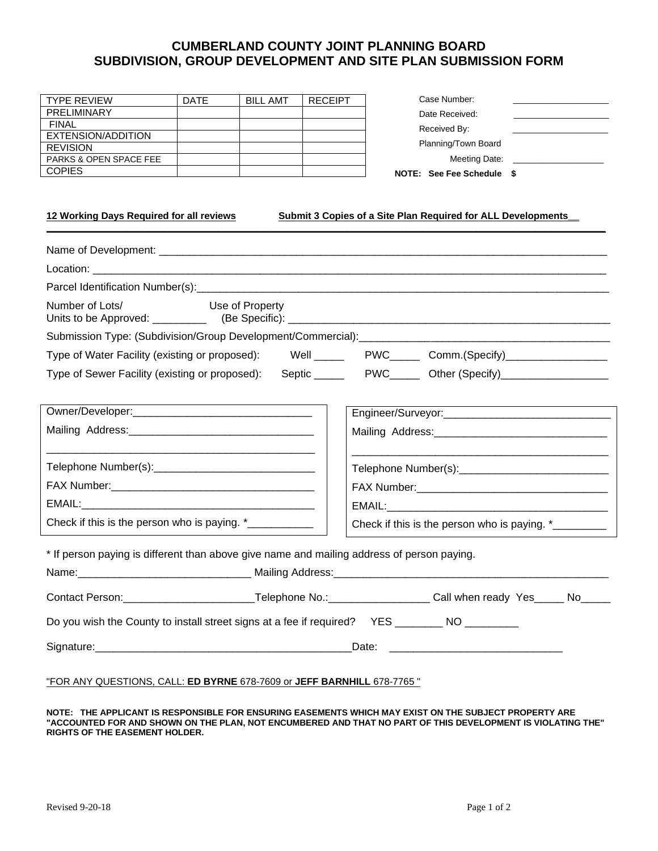## **CUMBERLAND COUNTY JOINT PLANNING BOARD SUBDIVISION, GROUP DEVELOPMENT AND SITE PLAN SUBMISSION FORM**

**\_\_\_\_\_\_\_\_\_\_\_\_\_\_\_\_\_\_\_\_\_\_\_\_\_\_\_\_\_\_\_\_\_\_\_\_\_\_\_\_\_\_\_\_\_\_\_\_\_\_\_\_\_\_\_\_\_\_\_\_\_\_\_\_\_\_\_\_\_\_\_\_\_\_\_\_\_\_\_\_\_\_\_\_\_\_\_\_\_\_\_\_\_\_\_\_\_\_\_\_\_\_\_\_**

| <b>TYPE REVIEW</b>                | <b>DATE</b> | <b>BILL AMT</b> | <b>RECEIPT</b> |
|-----------------------------------|-------------|-----------------|----------------|
| PRELIMINARY                       |             |                 |                |
| FINAL                             |             |                 |                |
| EXTENSION/ADDITION                |             |                 |                |
| <b>REVISION</b>                   |             |                 |                |
| <b>PARKS &amp; OPEN SPACE FEE</b> |             |                 |                |
| <b>COPIES</b>                     |             |                 |                |

| <b>NOTE: See Fee Schedule</b> |  |
|-------------------------------|--|
| Meeting Date:                 |  |
| Planning/Town Board           |  |
| Received By:                  |  |
| Date Received:                |  |
| Case Number:                  |  |

**12 Working Days Required for all reviews Submit 3 Copies of a Site Plan Required for ALL Developments\_\_** 

| Use of Property<br>Number of Lots/                                                                                                                                                                                                   |                                                      |  |  |  |  |
|--------------------------------------------------------------------------------------------------------------------------------------------------------------------------------------------------------------------------------------|------------------------------------------------------|--|--|--|--|
| Submission Type: (Subdivision/Group Development/Commercial): [2010] [2010] [2010] [2010] [2010] [2010] [2010] [                                                                                                                      |                                                      |  |  |  |  |
| Type of Water Facility (existing or proposed): Well ______ PWC______ Comm.(Specify)________________                                                                                                                                  |                                                      |  |  |  |  |
| Type of Sewer Facility (existing or proposed): Septic _____ PWC____ Other (Specify)_________________                                                                                                                                 |                                                      |  |  |  |  |
|                                                                                                                                                                                                                                      |                                                      |  |  |  |  |
|                                                                                                                                                                                                                                      |                                                      |  |  |  |  |
|                                                                                                                                                                                                                                      |                                                      |  |  |  |  |
|                                                                                                                                                                                                                                      |                                                      |  |  |  |  |
|                                                                                                                                                                                                                                      |                                                      |  |  |  |  |
| Check if this is the person who is paying. *___________                                                                                                                                                                              | Check if this is the person who is paying. *________ |  |  |  |  |
| * If person paying is different than above give name and mailing address of person paying.                                                                                                                                           |                                                      |  |  |  |  |
|                                                                                                                                                                                                                                      |                                                      |  |  |  |  |
| Contact Person:___________________________Telephone No.:___________________Call when ready Yes_____ No_____                                                                                                                          |                                                      |  |  |  |  |
| Do you wish the County to install street signs at a fee if required? YES _________ NO _________                                                                                                                                      |                                                      |  |  |  |  |
| Signature: <u>Contract Contract Contract Contract Contract Contract Contract Contract Contract Contract Contract Contract Contract Contract Contract Contract Contract Contract Contract Contract Contract Contract Contract Con</u> |                                                      |  |  |  |  |
| "FOR ANY QUESTIONS, CALL: ED BYRNE 678-7609 or JEFF BARNHILL 678-7765"                                                                                                                                                               |                                                      |  |  |  |  |

**NOTE: THE APPLICANT IS RESPONSIBLE FOR ENSURING EASEMENTS WHICH MAY EXIST ON THE SUBJECT PROPERTY ARE "ACCOUNTED FOR AND SHOWN ON THE PLAN, NOT ENCUMBERED AND THAT NO PART OF THIS DEVELOPMENT IS VIOLATING THE" RIGHTS OF THE EASEMENT HOLDER.**